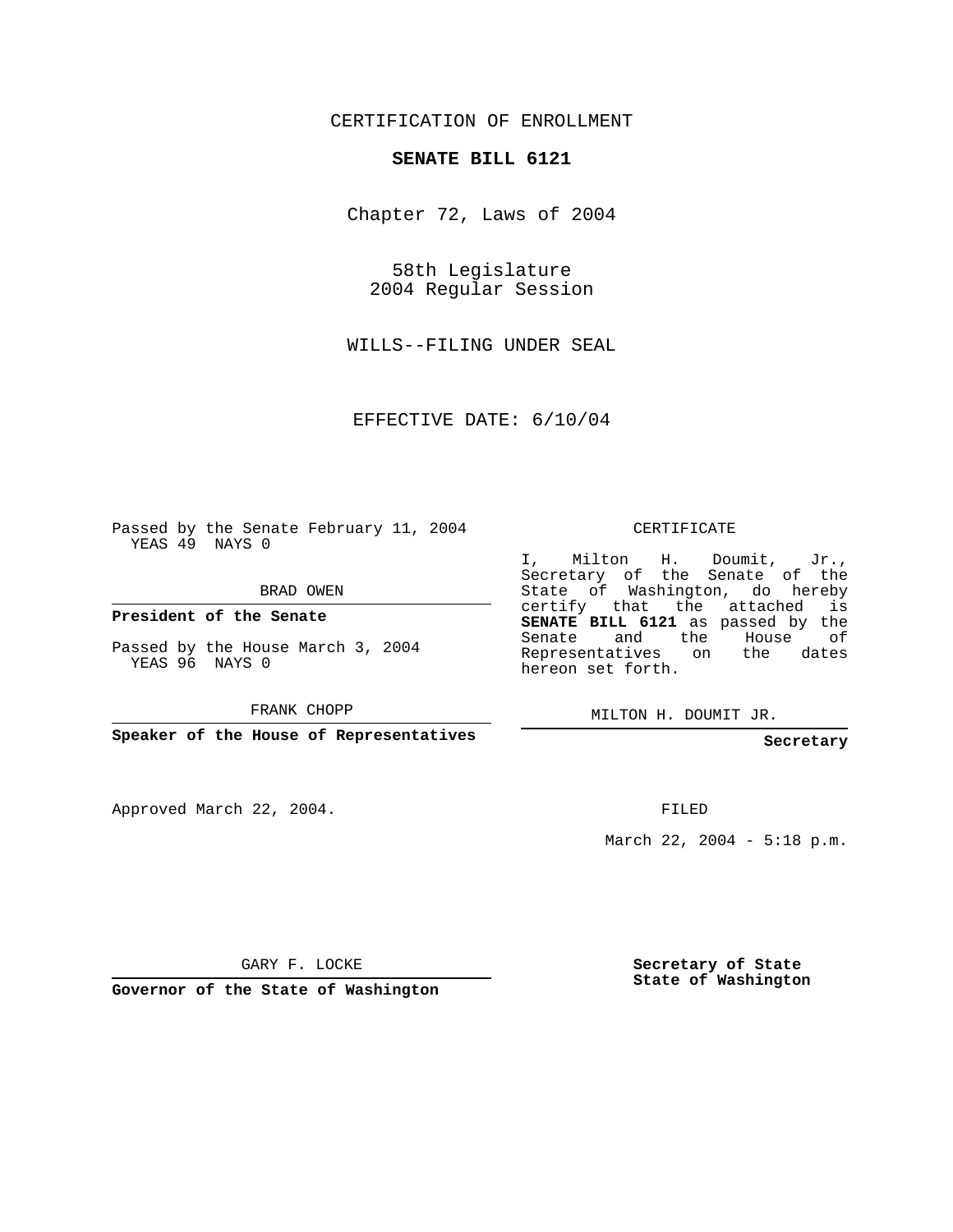## CERTIFICATION OF ENROLLMENT

## **SENATE BILL 6121**

Chapter 72, Laws of 2004

58th Legislature 2004 Regular Session

WILLS--FILING UNDER SEAL

EFFECTIVE DATE: 6/10/04

Passed by the Senate February 11, 2004 YEAS 49 NAYS 0

BRAD OWEN

**President of the Senate**

Passed by the House March 3, 2004 YEAS 96 NAYS 0

FRANK CHOPP

**Speaker of the House of Representatives**

Approved March 22, 2004.

CERTIFICATE

I, Milton H. Doumit, Jr., Secretary of the Senate of the State of Washington, do hereby certify that the attached is **SENATE BILL 6121** as passed by the Senate and the House of Representatives on the dates hereon set forth.

MILTON H. DOUMIT JR.

**Secretary**

FILED

March 22, 2004 - 5:18 p.m.

GARY F. LOCKE

**Governor of the State of Washington**

**Secretary of State State of Washington**